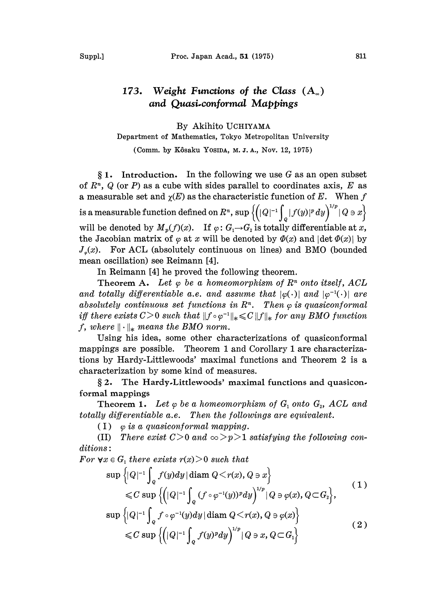## Weight Functions of the Class  $(A_{\infty})$ 173. and Quasi.conformal Mappings

By Akihito UCHIYAMA Department of Mathematics, Tokyo Metropolitan University

(Comm. by Kôsaku Yosida, M.J.A., Nov. 12, 1975)

 $§ 1.$  Introduction. In the following we use G as an open subset of  $R<sup>n</sup>$ , Q (or P) as a cube with sides parallel to coordinates axis, E as a measurable set and  $\gamma(E)$  as the characteristic function of E. When f is a measurable function defined on  $R^n$ ,  $\sup \left\{(|Q|^{-1}\int_Q|f(y)|^p\,dy\right\}^{1/p} |Q \ni x\right\}$ will be denoted by  $M_p(f)(x)$ . If  $\varphi: G_1 \rightarrow G_2$  is totally differentiable at x, the Jacobian matrix of  $\varphi$  at x will be denoted by  $\varPhi(x)$  and  $|\det \varPhi(x)|$  by  $J_{\varphi}(x)$ . For ACL (absolutely continuous on lines) and BMO (bounded mean oscillation) see Reimann [4].

In Reimann [4] he proved the following theorem.

Theorem A. Let  $\varphi$  be a homeomorphism of  $R<sup>n</sup>$  onto itself, ACL and totally differentiable a.e. and assume that  $|\varphi(\cdot)|$  and  $|\varphi^{-1}(\cdot)|$  are absolutely continuous set functions in  $\mathbb{R}^n$ . Then  $\varphi$  is quasiconformal iff there exists  $C>0$  such that  $||f \circ \varphi^{-1}||_* \leq C ||f||_*$  for any BMO function f, where  $\|\cdot\|_*$  means the BMO norm.

Using his idea, some other characterizations of quasiconformal mappings are possible. Theorem I and Corollary I are characterizations by Hardy-Littlewoods' maximal functions and Theorem 2 is a characterization by some kind of measures.

2. The Hardy.Littlewoods' maximal functions and quasicon. formal mappings

**Theorem 1.** Let  $\varphi$  be a homeomorphism of  $G_1$  onto  $G_2$ , ACL and totally differentiable a.e. Then the followings are equivalent.

(I)  $\varphi$  is a quasiconformal mapping.

(II) There exist  $C>0$  and  $\infty > p > 1$  satisfying the following conditions:

For  $\forall x \in G_1$  there exists  $r(x) > 0$  such that

$$
\sup \left\{ |Q|^{-1} \int_{Q} f(y) dy | \operatorname{diam} Q < r(x), Q \ni x \right\} \leq C \sup \left\{ \left( |Q|^{-1} \int_{Q} (f \circ \varphi^{-1}(y))^{p} dy \right)^{1/p} | Q \ni \varphi(x), Q \subset G_{2} \right\},\right\}
$$
\n
$$
\sup \left\{ |Q|^{-1} \int_{Q} f \circ \varphi^{-1}(y) dy | \operatorname{diam} Q < r(x), Q \ni \varphi(x) \right\} \tag{2}
$$

$$
\leqslant C \sup \left\{ \left( |Q|^{-1} \int_Q f(y)^p dy \right)^{1/p} |Q \ni x, Q \subset G_1 \right\}
$$
 (2)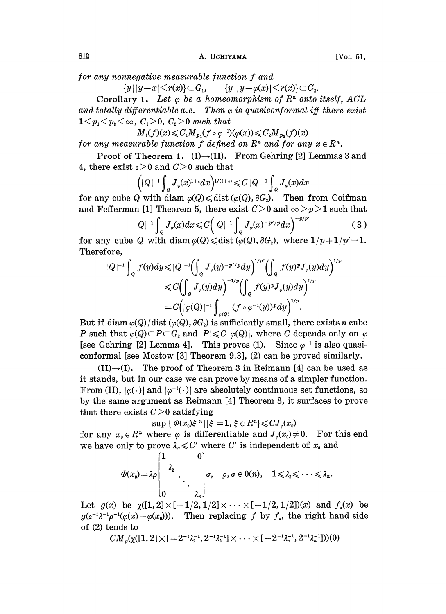for any nonnegative measurable function f and<br>  ${y||y-x| \leq r(x)} \subset G_1, \qquad {y||y-\varphi(x)| \leq r(x)} \subset G_2.$ 

Corollary 1. Let  $\varphi$  be a homeomorphism of  $R^n$  onto itself, ACL and totally differentiable a.e. Then  $\varphi$  is quasiconformal iff there exist  $1 \leq p_1 \leq p_2 \leq \infty$ ,  $C_1 > 0$ ,  $C_2 > 0$  such that

 $M_1(f)(x) \leq C_1 M_{p_1}(f \circ \varphi^{-1})(\varphi(x)) \leq C_2 M_{p_2}(f)(x)$ 

for any measurable function f defined on  $R^n$  and for any  $x \in R^n$ .

Proof of Theorem 1. (I) $\rightarrow$ (II). From Gehring [2] Lemmas 3 and 4, there exist  $\varepsilon > 0$  and  $C > 0$  such that

$$
\left(|Q|^{-1}\int_{Q}J_{\varphi}(x)^{1+s}dx\right)^{1/(1+s)} \leqslant C\,|Q|^{-1}\int_{Q}J_{\varphi}(x)dx
$$

for any cube Q with diam  $\varphi(Q) \leq \text{dist } (\varphi(Q), \partial G)$ . Then from Coifman and Fefferman [1] Theorem 5, there exist  $C>0$  and  $\infty >p>1$  such that

$$
|Q|^{-1} \int_{Q} J_{\varphi}(x) dx \leq C \Big( |Q|^{-1} \int_{Q} J_{\varphi}(x)^{-p'/p} dx \Big)^{-p/p'} \tag{3}
$$

for any cube Q with diam  $\varphi(Q) \le \text{dist } (\varphi(Q), \partial G_2)$ , where  $1/p+1/p'=1$ . Therefore,

$$
|Q|^{-1} \int_{Q} f(y) dy \leq |Q|^{-1} \left( \int_{Q} J_{\varphi}(y)^{-p'/p} dy \right)^{1/p'} \left( \int_{Q} f(y)^{p} J_{\varphi}(y) dy \right)^{1/p}
$$
  
\n
$$
\leq C \left( \int_{Q} J_{\varphi}(y) dy \right)^{-1/p} \left( \int_{Q} f(y)^{p} J_{\varphi}(y) dy \right)^{1/p}
$$
  
\n
$$
= C \left( |\varphi(Q)|^{-1} \int_{\varphi(Q)} (f \circ \varphi^{-1}(y))^p dy \right)^{1/p}.
$$
  
\nBut if diam  $\varphi(Q)/\text{dist }(\varphi(Q), \partial G_2)$  is sufficiently small, there exists a cube

P such that  $\varphi(Q) \subset P \subset G_2$  and  $|P| \leq C |\varphi(Q)|$ , where C depends only on  $\varphi$ [see Gehring [2] Lemma 4]. This proves (1). Since  $\varphi^{-1}$  is also quasiconformal [see Mostow [3] Theorem 9.3],  $(2)$  can be proved similarly.

 $\varphi^{-1}$  is also quasi-<br>roved similarly.<br>[1] can be used as<br>simpler function.  $(II) \rightarrow (I)$ . The proof of Theorem 3 in Reimann [4] can be used as it stands, but in our case we can prove by means of a simpler function. From (II),  $|\varphi(\cdot)|$  and  $|\varphi^{-1}(\cdot)|$  are absolutely continuous set functions, so by the same argument as Reimann [4] Theorem 3, it surfaces to prove that there exists  $C>0$  satisfying

 $\sup \{ |\varPhi(x_0)\xi|^n | |\xi|=1, \xi \in R^n \} \leqslant C J_{\varphi}(x_0)$ 

for any  $x_0 \in R^n$  where  $\varphi$  is differentiable and  $J_{\varphi}(x_0) \neq 0$ . For this end we have only to prove  $\lambda_n \leqslant C'$  where C' is independent of  $x_0$  and

$$
\varPhi(x_0)=\lambda\rho\begin{bmatrix}1&&&0\\&\lambda_2&&\\&&\ddots&\\0&&&\lambda_n\end{bmatrix}\sigma,\quad\rho,\,\sigma\in\mathsf{O}(n),\quad 1\leqslant\lambda_2\leqslant\cdots\leqslant\lambda_n.
$$

Let  $g(x)$  be  $\gamma([1, 2] \times [-1/2, 1/2] \times \cdots \times [-1/2, 1/2]) (x)$  and  $f_i(x)$  be  $g(\epsilon^{-1}\lambda^{-1}\rho^{-1}(\varphi(x)-\varphi(x_0)))$ . Then replacing f by f<sub>i</sub>, the right hand side of (2) tends to

 $CM_{\alpha}(\gamma([1, 2]\times[-2^{-1}\lambda_{\alpha}^{-1}, 2^{-1}\lambda_{\alpha}^{-1}]\times\cdots\times[-2^{-1}\lambda_{\alpha}^{-1}, 2^{-1}\lambda_{\alpha}^{-1}]))(0)$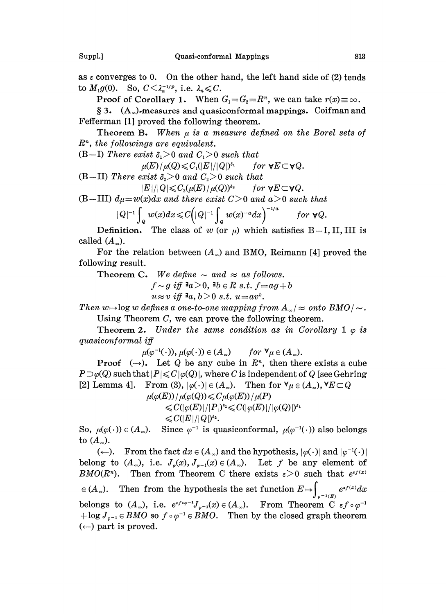as  $\varepsilon$  converges to 0. On the other hand, the left hand side of (2) tends to  $M_1g(0)$ . So,  $C<\lambda_n^{-1/p}$ , i.e.  $\lambda_n\leqslant C$ .

Proof of Corollary 1. When  $G_1 = G_2 = \mathbb{R}^n$ , we can take  $r(x) \equiv \infty$ .

 $\S 3.$  (A<sub>∞</sub>). measures and quasiconformal mappings. Coifman and Fefferman [1] proved the following theorem.

Theorem B. When  $\mu$  is a measure defined on the Borel sets of  $R<sup>n</sup>$ , the followings are equivalent.

(B-I) There exist  $\delta_1 > 0$  and  $C_1 > 0$  such that

 $\mu(E)/\mu(Q) \leqslant C_1(|E|/|Q|)^{\delta_1}$ for  $\forall E \subset \forall Q$ . (B-II) There exist  $\delta_2 > 0$  and  $C_2 > 0$  such that

 $|E|/|Q| \leqslant C_2(\mu(E)/\mu(Q))^{\delta_2}$  for  $\forall E \subset \forall Q$ .

(B-III)  $d\mu=w(x)dx$  and there exist  $C>0$  and  $a>0$  such that

$$
|Q|^{-1} \int_{Q} w(x) dx \leq C \Big( |Q|^{-1} \int_{Q} w(x)^{-a} dx \Big)^{-1/a} \quad \text{for } \forall Q.
$$
  
Definition. The class of  $w$  (or  $\mu$ ) which satisfies B-I, II, III is

called  $(A_{\infty})$ .

For the relation between  $(A_{\infty})$  and BMO, Reimann [4] proved the following result.

Theorem C. We define  $\sim$  and  $\approx$  as follows.  $f \sim g$  iff  $a>0$ ,  $b \in R$  s.t.  $f=ag+b$ 

 $u \approx v$  iff  $a, b > 0$  s.t.  $u = av^b$ .

Then  $w \rightarrow \log w$  defines a one-to-one mapping from  $A_{\infty}/\approx$  onto  $BMO/\sim$ . Using Theorem  $C$ , we can prove the following theorem.

**Theorem 2.** Under the same condition as in Corollary 1  $\varphi$  is quasiconformal iff

$$
\mu(\varphi^{-1}(\cdot)), \mu(\varphi(\cdot)) \in (A_{\infty})
$$
 for  $\forall \mu \in (A_{\infty})$ .

**Proof**  $(\rightarrow)$ . Let Q be any cube in  $\mathbb{R}^n$ , then there exists a cube  $P\supset\varphi(Q)$  such that  $|P|\leqslant C|\varphi(Q)|$ , where C is independent of Q [see Gehring [2] Lemma 4]. From (3),  $|\varphi(\cdot)| \in (A_{\infty})$ . Then for  $\forall \mu \in (A_{\infty})$ ,  $\forall E \subset Q$ 

> $\mu(\varphi(E))/\mu(\varphi(Q)) \leqslant C \mu(\varphi(E))/\mu(P)$  $\langle \langle C(\varphi(E))/|P|\rangle^{\delta_1} \langle \langle C(\varphi(E))/|\varphi(Q)|\rangle^{\delta_1}$

> > $\leqslant C(|E|/|Q|)^{\delta_2}.$

So,  $\mu(\varphi(\cdot)) \in (A_{\infty})$ . Since  $\varphi^{-1}$  is quasiconformal,  $\mu(\varphi^{-1}(\cdot))$  also belongs to  $(A_{\infty}).$ 

So,  $\mu(\varphi(\cdot)) \in (A_{\infty})$ . Since  $\varphi^{-1}$  is quasiconformal,  $\mu(\varphi^{-1}(\cdot))$  also belongs<br>to  $(A_{\infty})$ . From the fact  $dx \in (A_{\infty})$  and the hypothesis,  $|\varphi(\cdot)|$  and  $|\varphi^{-1}(\cdot)|$ <br>belong to  $(A_{\infty})$ , i.e.  $J_{\varphi}(x)$ ,  $J_{\varphi^{-1}}(x) \$  $(\leftarrow)$ . From the fact  $dx \in (A_{\infty})$  and the hypothesis,  $|\varphi(\cdot)|$  and  $|\varphi^{-1}(\cdot)|$  $E(M\cup (K^n))$ . Then from Theorem C there exists  $\varepsilon > 0$  such that  $e^{i\omega t}$ <br>  $\in (A_{\infty})$ . Then from the hypothesis the set function  $E \mapsto \int_{\varphi^{-1}(E)} e^{i\omega t} dx$ belongs to  $(A_{\infty})$ , i.e.  $e^{if \circ \varphi^{-1}} J_{\varphi^{-1}}(x) \in (A_{\infty})$ . From Theorem C  $\epsilon f \circ \varphi^{-1}$  $+\log J_{\varphi^{-1}} \in BMO$  so  $f \circ \varphi^{-1} \in BMO$ . Then by the closed graph theorem  $(\leftarrow)$  part is proved.  $\left(\leftarrow\right)$  part is proved.